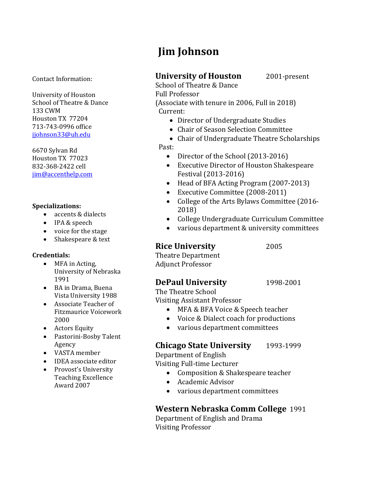Contact Information:

University of Houston School of Theatre & Dance 133 CWM Houston TX 77204 713-743-0996 office jjohnson33@uh.edu

6670 Sylvan Rd Houston TX 77023 832-368-2422 cell jim@accenthelp.com

#### **Specializations:**

- accents & dialects
- IPA & speech
- voice for the stage
- Shakespeare & text

#### **Credentials:**

- $\bullet$  MFA in Acting, University of Nebraska 1991
- BA in Drama, Buena Vista University 1988
- Associate Teacher of Fitzmaurice Voicework 2000
- **Actors Equity**
- Pastorini-Bosby Talent Agency
- VASTA member
- IDEA associate editor
- Provost's University Teaching Excellence Award 2007

# **Jim Johnson**

## **University of Houston** 2001-present

School of Theatre & Dance Full Professor (Associate with tenure in 2006, Full in 2018) Current:

- Director of Undergraduate Studies
- Chair of Season Selection Committee
- Chair of Undergraduate Theatre Scholarships

#### Past:

- Director of the School (2013-2016)
- Executive Director of Houston Shakespeare Festival (2013-2016)
- Head of BFA Acting Program (2007-2013)
- Executive Committee (2008-2011)
- College of the Arts Bylaws Committee (2016-2018)
- College Undergraduate Curriculum Committee
- various department & university committees

#### **Rice University** 2005

Theatre Department **Adjunct Professor** 

## **DePaul University** 1998-2001

The Theatre School Visiting Assistant Professor

- MFA & BFA Voice & Speech teacher
- Voice & Dialect coach for productions
- various department committees

#### **Chicago State University** 1993-1999

Department of English

- Visiting Full-time Lecturer
	- Composition & Shakespeare teacher
	- Academic Advisor
	- various department committees

## **Western Nebraska Comm College** 1991

Department of English and Drama Visiting Professor